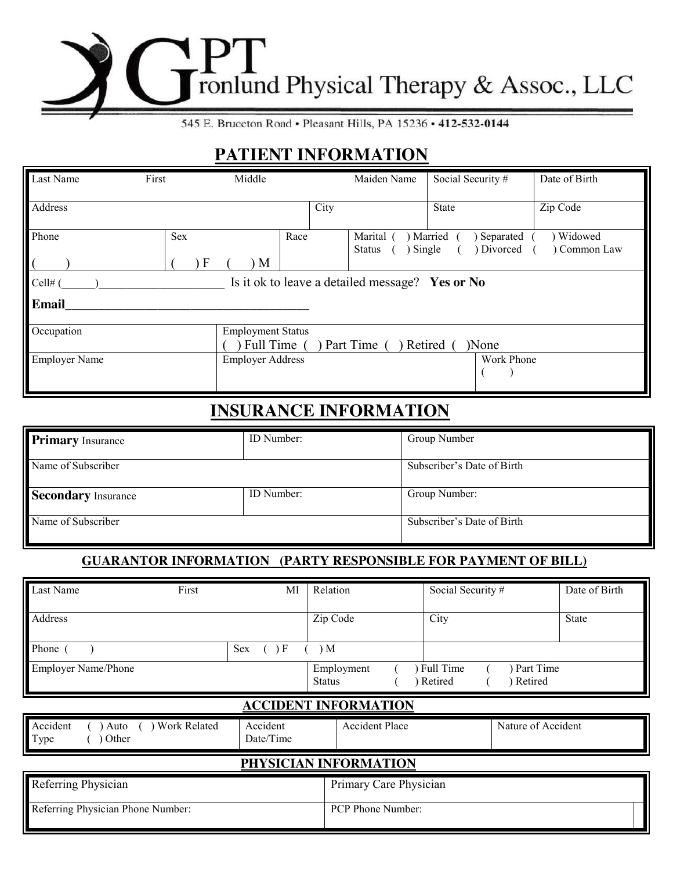# ronlund Physical Therapy & Assoc., LLC

545 E. Bruceton Road · Pleasant Hills, PA 15236 · 412-532-0144

# **PATIENT INFORMATION**

| Last Name            | First    | Middle                                  |      | Maiden Name                                     | Social Security #                | Date of Birth         |
|----------------------|----------|-----------------------------------------|------|-------------------------------------------------|----------------------------------|-----------------------|
| Address              |          |                                         | City |                                                 | State                            | Zip Code              |
| Phone                | Sex<br>F | Race<br>M                               |      | Marital<br>Single<br>Status                     | Married<br>Separated<br>Divorced | Widowed<br>Common Law |
| Cell# $($            |          |                                         |      | Is it ok to leave a detailed message? Yes or No |                                  |                       |
| Email                |          |                                         |      |                                                 |                                  |                       |
| Occupation           |          | <b>Employment Status</b><br>Full Time ( |      | Part Time                                       | )None<br>Retired                 |                       |
| <b>Employer Name</b> |          | <b>Employer Address</b>                 |      |                                                 | Work Phone                       |                       |

# **INSURANCE INFORMATION**

| <b>Primary Insurance</b> | ID Number: | Group Number               |
|--------------------------|------------|----------------------------|
| Name of Subscriber       |            | Subscriber's Date of Birth |
| Secondary Insurance      | ID Number: | Group Number:              |
| Name of Subscriber       |            | Subscriber's Date of Birth |

# **GUARANTOR INFORMATION (PARTY RESPONSIBLE FOR PAYMENT OF BILL)**

| Last Name                  | First | MI                | Relation                    | Social Security #    |                      | Date of Birth |
|----------------------------|-------|-------------------|-----------------------------|----------------------|----------------------|---------------|
| Address                    |       |                   | Zip Code                    | City                 |                      | <b>State</b>  |
| Phone                      |       | <b>Sex</b><br>, F | ) M                         |                      |                      |               |
| <b>Employer Name/Phone</b> |       |                   | Employment<br><b>Status</b> | Full Time<br>Retired | Part Time<br>Retired |               |

# **ACCIDENT INFORMATION**

| Accident<br><b>Work Related</b><br>Auto<br>Type<br>Other | Accident<br>Date/Time | <b>Accident Place</b>    | Nature of Accident |
|----------------------------------------------------------|-----------------------|--------------------------|--------------------|
|                                                          |                       | PHYSICIAN INFORMATION    |                    |
| Referring Physician                                      |                       | Primary Care Physician   |                    |
| Referring Physician Phone Number:                        |                       | <b>PCP Phone Number:</b> |                    |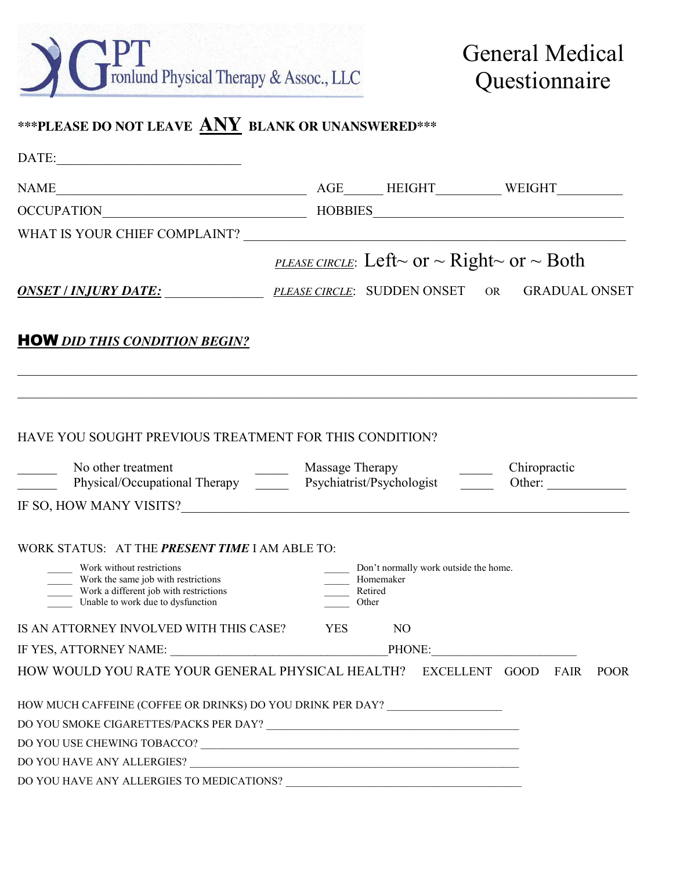

General Medical Questionnaire

# **\*\*\*PLEASE DO NOT LEAVE ANY BLANK OR UNANSWERED\*\*\***

| $\textbf{DATE:}\underline{\hspace{2.5cm}}$                                                                                                      |                                                                                                                                                                                                                                                                    |
|-------------------------------------------------------------------------------------------------------------------------------------------------|--------------------------------------------------------------------------------------------------------------------------------------------------------------------------------------------------------------------------------------------------------------------|
| <b>NAME</b>                                                                                                                                     |                                                                                                                                                                                                                                                                    |
| OCCUPATION                                                                                                                                      |                                                                                                                                                                                                                                                                    |
|                                                                                                                                                 |                                                                                                                                                                                                                                                                    |
|                                                                                                                                                 | <b>PLEASE CIRCLE:</b> Left~ or ~ Right~ or ~ Both                                                                                                                                                                                                                  |
|                                                                                                                                                 | <b>ONSET / INJURY DATE:</b> PLEASE CIRCLE: SUDDEN ONSET OR<br><b>GRADUAL ONSET</b>                                                                                                                                                                                 |
| <b>HOW</b> DID THIS CONDITION BEGIN?                                                                                                            |                                                                                                                                                                                                                                                                    |
| HAVE YOU SOUGHT PREVIOUS TREATMENT FOR THIS CONDITION?                                                                                          | No other treatment<br>Physical/Occupational Therapy<br>Psychiatrist/Psychologist<br>Psychiatrist/Psychologist<br>Psychiatrist/Psychologist<br>Psychiatrist/Psychologist<br>Psychiatrist/Psychologist<br>Psychiatrist/Psychologist<br>Psy<br>Chiropractic<br>Other: |
|                                                                                                                                                 |                                                                                                                                                                                                                                                                    |
| WORK STATUS: AT THE PRESENT TIME I AM ABLE TO:                                                                                                  |                                                                                                                                                                                                                                                                    |
| Work without restrictions<br>Work the same job with restrictions<br>Work a different job with restrictions<br>Unable to work due to dysfunction | Don't normally work outside the home.<br>Homemaker<br>Retired<br>Other                                                                                                                                                                                             |
| IS AN ATTORNEY INVOLVED WITH THIS CASE?                                                                                                         | N <sub>O</sub><br><b>YES</b>                                                                                                                                                                                                                                       |
|                                                                                                                                                 | PHONE:                                                                                                                                                                                                                                                             |
|                                                                                                                                                 | HOW WOULD YOU RATE YOUR GENERAL PHYSICAL HEALTH? EXCELLENT GOOD<br>FAIR<br><b>POOR</b>                                                                                                                                                                             |
|                                                                                                                                                 | HOW MUCH CAFFEINE (COFFEE OR DRINKS) DO YOU DRINK PER DAY? _____________________                                                                                                                                                                                   |
|                                                                                                                                                 |                                                                                                                                                                                                                                                                    |
|                                                                                                                                                 |                                                                                                                                                                                                                                                                    |
|                                                                                                                                                 |                                                                                                                                                                                                                                                                    |
|                                                                                                                                                 |                                                                                                                                                                                                                                                                    |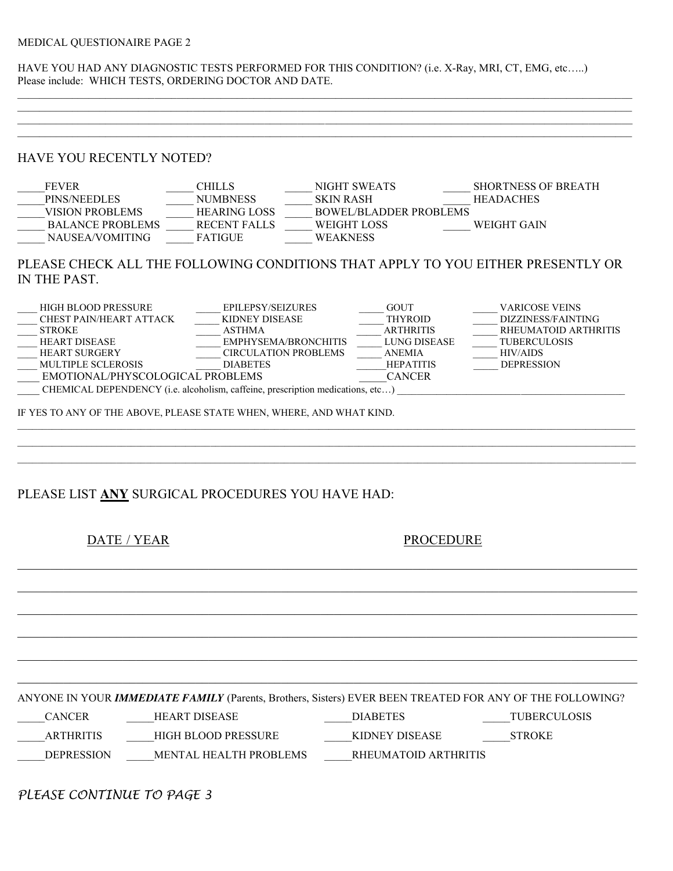#### MEDICAL QUESTIONAIRE PAGE 2

HAVE YOU HAD ANY DIAGNOSTIC TESTS PERFORMED FOR THIS CONDITION? (i.e. X-Ray, MRI, CT, EMG, etc…..) Please include: WHICH TESTS, ORDERING DOCTOR AND DATE.

 $\mathcal{L}_\mathcal{L} = \{ \mathcal{L}_\mathcal{L} = \{ \mathcal{L}_\mathcal{L} = \{ \mathcal{L}_\mathcal{L} = \{ \mathcal{L}_\mathcal{L} = \{ \mathcal{L}_\mathcal{L} = \{ \mathcal{L}_\mathcal{L} = \{ \mathcal{L}_\mathcal{L} = \{ \mathcal{L}_\mathcal{L} = \{ \mathcal{L}_\mathcal{L} = \{ \mathcal{L}_\mathcal{L} = \{ \mathcal{L}_\mathcal{L} = \{ \mathcal{L}_\mathcal{L} = \{ \mathcal{L}_\mathcal{L} = \{ \mathcal{L}_\mathcal{$ 

 $\mathcal{L}_\mathcal{L} = \{ \mathcal{L}_\mathcal{L} = \{ \mathcal{L}_\mathcal{L} = \{ \mathcal{L}_\mathcal{L} = \{ \mathcal{L}_\mathcal{L} = \{ \mathcal{L}_\mathcal{L} = \{ \mathcal{L}_\mathcal{L} = \{ \mathcal{L}_\mathcal{L} = \{ \mathcal{L}_\mathcal{L} = \{ \mathcal{L}_\mathcal{L} = \{ \mathcal{L}_\mathcal{L} = \{ \mathcal{L}_\mathcal{L} = \{ \mathcal{L}_\mathcal{L} = \{ \mathcal{L}_\mathcal{L} = \{ \mathcal{L}_\mathcal{$ 

### HAVE YOU RECENTLY NOTED?

| <b>FEVER</b>            | CHILLS              | NIGHT SWEATS           | <b>SHORTNESS OF BREATH</b> |
|-------------------------|---------------------|------------------------|----------------------------|
| PINS/NEEDLES            | <b>NUMBNESS</b>     | <b>SKIN RASH</b>       | <b>HEADACHES</b>           |
| VISION PROBLEMS         | <b>HEARING LOSS</b> | BOWEL/BLADDER PROBLEMS |                            |
| <b>BALANCE PROBLEMS</b> | RECENT FALLS        | WEIGHT LOSS            | WEIGHT GAIN                |
| NAUSEA/VOMITING         | FATIGUE             | <b>WEAKNESS</b>        |                            |

# PLEASE CHECK ALL THE FOLLOWING CONDITIONS THAT APPLY TO YOU EITHER PRESENTLY OR IN THE PAST.

| HIGH BLOOD PRESSURE                                                            | <b>EPILEPSY/SEIZURES</b>    | <b>GOUT</b>      | <b>VARICOSE VEINS</b> |  |  |  |
|--------------------------------------------------------------------------------|-----------------------------|------------------|-----------------------|--|--|--|
| CHEST PAIN/HEART ATTACK                                                        | KIDNEY DISEASE              | <b>THYROID</b>   | DIZZINESS/FAINTING    |  |  |  |
| <b>STROKE</b>                                                                  | <b>ASTHMA</b>               | <b>ARTHRITIS</b> | RHEUMATOID ARTHRITIS  |  |  |  |
| <b>HEART DISEASE</b>                                                           | EMPHYSEMA/BRONCHITIS        | LUNG DISEASE     | <b>TUBERCULOSIS</b>   |  |  |  |
| <b>HEART SURGERY</b>                                                           | <b>CIRCULATION PROBLEMS</b> | ANEMIA           | <b>HIV/AIDS</b>       |  |  |  |
| <b>MULTIPLE SCLEROSIS</b>                                                      | <b>DIABETES</b>             | <b>HEPATITIS</b> | <b>DEPRESSION</b>     |  |  |  |
| EMOTIONAL/PHYSCOLOGICAL PROBLEMS                                               |                             | <b>CANCER</b>    |                       |  |  |  |
| CHEMICAL DEPENDENCY (i.e. alcoholism, caffeine, prescription medications, etc) |                             |                  |                       |  |  |  |
|                                                                                |                             |                  |                       |  |  |  |
|                                                                                |                             |                  |                       |  |  |  |

 $\mathcal{L} = \{ \mathcal{L} = \{ \mathcal{L} = \{ \mathcal{L} = \{ \mathcal{L} = \{ \mathcal{L} = \{ \mathcal{L} = \{ \mathcal{L} = \{ \mathcal{L} = \{ \mathcal{L} = \{ \mathcal{L} = \{ \mathcal{L} = \{ \mathcal{L} = \{ \mathcal{L} = \{ \mathcal{L} = \{ \mathcal{L} = \{ \mathcal{L} = \{ \mathcal{L} = \{ \mathcal{L} = \{ \mathcal{L} = \{ \mathcal{L} = \{ \mathcal{L} = \{ \mathcal{L} = \{ \mathcal{L} = \{ \mathcal{$ 

 $\mathcal{L}_\mathcal{L} = \mathcal{L}_\mathcal{L} = \mathcal{L}_\mathcal{L} = \mathcal{L}_\mathcal{L} = \mathcal{L}_\mathcal{L} = \mathcal{L}_\mathcal{L} = \mathcal{L}_\mathcal{L} = \mathcal{L}_\mathcal{L} = \mathcal{L}_\mathcal{L} = \mathcal{L}_\mathcal{L} = \mathcal{L}_\mathcal{L} = \mathcal{L}_\mathcal{L} = \mathcal{L}_\mathcal{L} = \mathcal{L}_\mathcal{L} = \mathcal{L}_\mathcal{L} = \mathcal{L}_\mathcal{L} = \mathcal{L}_\mathcal{L}$ 

 $\mathcal{L}_\mathcal{L} = \mathcal{L}_\mathcal{L} = \mathcal{L}_\mathcal{L} = \mathcal{L}_\mathcal{L} = \mathcal{L}_\mathcal{L} = \mathcal{L}_\mathcal{L} = \mathcal{L}_\mathcal{L} = \mathcal{L}_\mathcal{L} = \mathcal{L}_\mathcal{L} = \mathcal{L}_\mathcal{L} = \mathcal{L}_\mathcal{L} = \mathcal{L}_\mathcal{L} = \mathcal{L}_\mathcal{L} = \mathcal{L}_\mathcal{L} = \mathcal{L}_\mathcal{L} = \mathcal{L}_\mathcal{L} = \mathcal{L}_\mathcal{L}$ 

 $\mathcal{L}_\mathcal{L} = \mathcal{L}_\mathcal{L} = \mathcal{L}_\mathcal{L} = \mathcal{L}_\mathcal{L} = \mathcal{L}_\mathcal{L} = \mathcal{L}_\mathcal{L} = \mathcal{L}_\mathcal{L} = \mathcal{L}_\mathcal{L} = \mathcal{L}_\mathcal{L} = \mathcal{L}_\mathcal{L} = \mathcal{L}_\mathcal{L} = \mathcal{L}_\mathcal{L} = \mathcal{L}_\mathcal{L} = \mathcal{L}_\mathcal{L} = \mathcal{L}_\mathcal{L} = \mathcal{L}_\mathcal{L} = \mathcal{L}_\mathcal{L}$ 

 $\mathcal{L}_\mathcal{L} = \mathcal{L}_\mathcal{L} = \mathcal{L}_\mathcal{L} = \mathcal{L}_\mathcal{L} = \mathcal{L}_\mathcal{L} = \mathcal{L}_\mathcal{L} = \mathcal{L}_\mathcal{L} = \mathcal{L}_\mathcal{L} = \mathcal{L}_\mathcal{L} = \mathcal{L}_\mathcal{L} = \mathcal{L}_\mathcal{L} = \mathcal{L}_\mathcal{L} = \mathcal{L}_\mathcal{L} = \mathcal{L}_\mathcal{L} = \mathcal{L}_\mathcal{L} = \mathcal{L}_\mathcal{L} = \mathcal{L}_\mathcal{L}$ 

 $\mathcal{L}_\mathcal{L} = \mathcal{L}_\mathcal{L} = \mathcal{L}_\mathcal{L} = \mathcal{L}_\mathcal{L} = \mathcal{L}_\mathcal{L} = \mathcal{L}_\mathcal{L} = \mathcal{L}_\mathcal{L} = \mathcal{L}_\mathcal{L} = \mathcal{L}_\mathcal{L} = \mathcal{L}_\mathcal{L} = \mathcal{L}_\mathcal{L} = \mathcal{L}_\mathcal{L} = \mathcal{L}_\mathcal{L} = \mathcal{L}_\mathcal{L} = \mathcal{L}_\mathcal{L} = \mathcal{L}_\mathcal{L} = \mathcal{L}_\mathcal{L}$ 

 $\mathcal{L}_\mathcal{L} = \mathcal{L}_\mathcal{L} = \mathcal{L}_\mathcal{L} = \mathcal{L}_\mathcal{L} = \mathcal{L}_\mathcal{L} = \mathcal{L}_\mathcal{L} = \mathcal{L}_\mathcal{L} = \mathcal{L}_\mathcal{L} = \mathcal{L}_\mathcal{L} = \mathcal{L}_\mathcal{L} = \mathcal{L}_\mathcal{L} = \mathcal{L}_\mathcal{L} = \mathcal{L}_\mathcal{L} = \mathcal{L}_\mathcal{L} = \mathcal{L}_\mathcal{L} = \mathcal{L}_\mathcal{L} = \mathcal{L}_\mathcal{L}$ 

IF YES TO ANY OF THE ABOVE, PLEASE STATE WHEN, WHERE, AND WHAT KIND.

## PLEASE LIST **ANY** SURGICAL PROCEDURES YOU HAVE HAD:

DATE / YEAR PROCEDURE

ANYONE IN YOUR *IMMEDIATE FAMILY* (Parents, Brothers, Sisters) EVER BEEN TREATED FOR ANY OF THE FOLLOWING?

\_\_\_\_\_CANCER \_\_\_\_\_HEART DISEASE \_\_\_\_\_DIABETES \_\_\_\_\_TUBERCULOSIS

\_\_\_\_\_ARTHRITIS \_\_\_\_\_HIGH BLOOD PRESSURE \_\_\_\_\_KIDNEY DISEASE \_\_\_\_\_STROKE

DEPRESSION \_\_\_\_\_\_MENTAL HEALTH PROBLEMS \_\_\_\_\_\_\_\_RHEUMATOID ARTHRITIS

*PLEASE CONTINUE TO PAGE 3*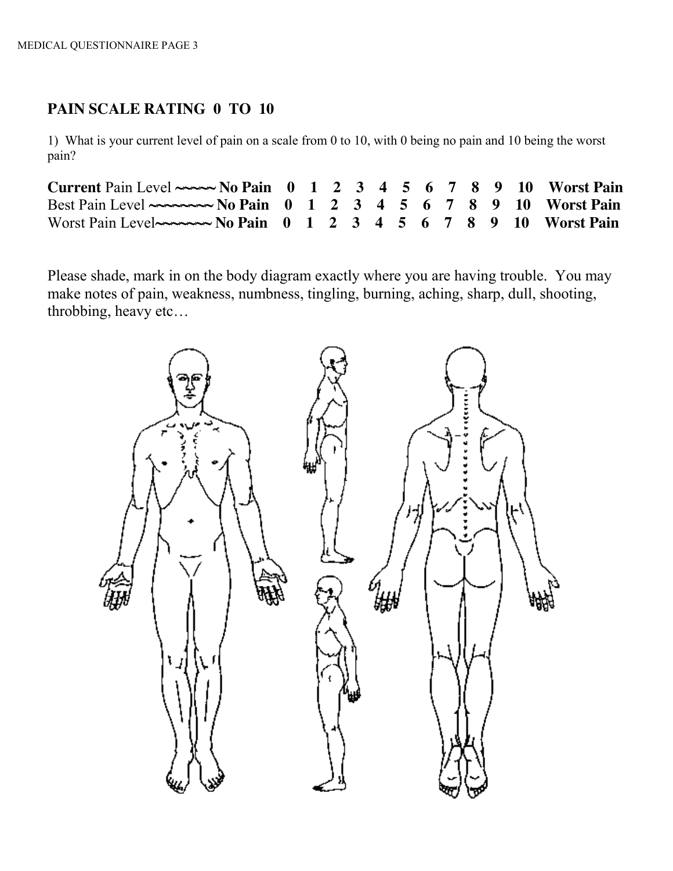# **PAIN SCALE RATING 0 TO 10**

1) What is your current level of pain on a scale from 0 to 10, with 0 being no pain and 10 being the worst pain?

| Current Pain Level $\sim \sim N_0$ Pain 0 1 2 3 4 5 6 7 8 9 10 Worst Pain       |  |  |  |  |  |  |
|---------------------------------------------------------------------------------|--|--|--|--|--|--|
|                                                                                 |  |  |  |  |  |  |
| Worst Pain Level $\sim$ $\sim$ $\sim$ No Pain 0 1 2 3 4 5 6 7 8 9 10 Worst Pain |  |  |  |  |  |  |

Please shade, mark in on the body diagram exactly where you are having trouble. You may make notes of pain, weakness, numbness, tingling, burning, aching, sharp, dull, shooting, throbbing, heavy etc…

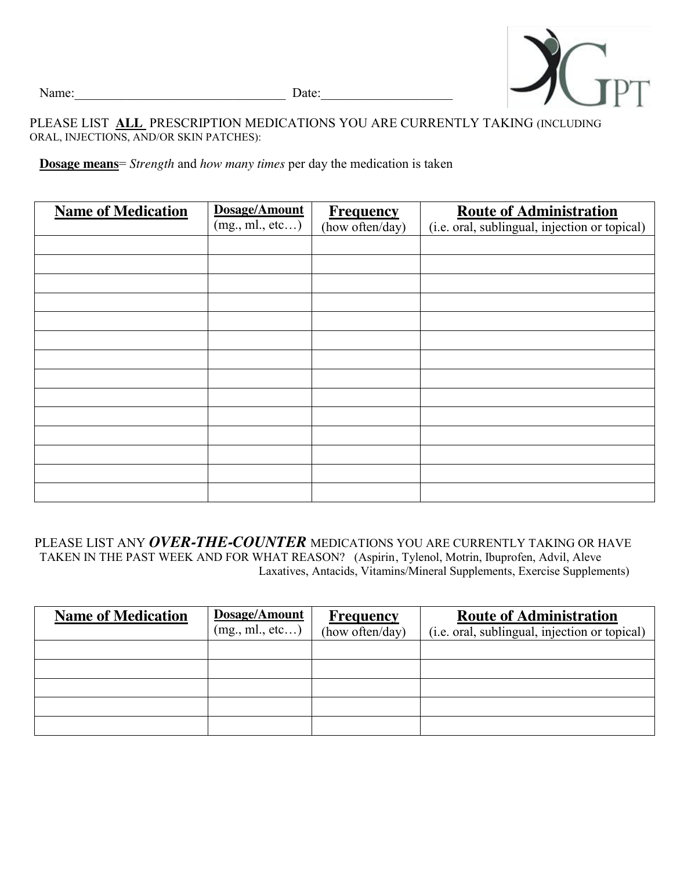

Name:\_\_\_\_\_\_\_\_\_\_\_\_\_\_\_\_\_\_\_\_\_\_\_\_\_\_\_\_\_\_\_\_ Date:\_\_\_\_\_\_\_\_\_\_\_\_\_\_\_\_\_\_\_\_

## PLEASE LIST **ALL** PRESCRIPTION MEDICATIONS YOU ARE CURRENTLY TAKING (INCLUDING ORAL, INJECTIONS, AND/OR SKIN PATCHES):

**Dosage means**= *Strength* and *how many times* per day the medication is taken

| <b>Name of Medication</b> | Dosage/Amount    | <b>Frequency</b> | <b>Route of Administration</b>                |
|---------------------------|------------------|------------------|-----------------------------------------------|
|                           | (mg., ml., etc ) | (how often/day)  | (i.e. oral, sublingual, injection or topical) |
|                           |                  |                  |                                               |
|                           |                  |                  |                                               |
|                           |                  |                  |                                               |
|                           |                  |                  |                                               |
|                           |                  |                  |                                               |
|                           |                  |                  |                                               |
|                           |                  |                  |                                               |
|                           |                  |                  |                                               |
|                           |                  |                  |                                               |
|                           |                  |                  |                                               |
|                           |                  |                  |                                               |
|                           |                  |                  |                                               |
|                           |                  |                  |                                               |
|                           |                  |                  |                                               |

PLEASE LIST ANY *OVER-THE-COUNTER* MEDICATIONS YOU ARE CURRENTLY TAKING OR HAVE TAKEN IN THE PAST WEEK AND FOR WHAT REASON? (Aspirin, Tylenol, Motrin, Ibuprofen, Advil, Aleve Laxatives, Antacids, Vitamins/Mineral Supplements, Exercise Supplements)

| <b>Name of Medication</b> | Dosage/Amount   | <b>Frequency</b> | <b>Route of Administration</b>                |
|---------------------------|-----------------|------------------|-----------------------------------------------|
|                           | (mg., ml., etc) | (how often/day)  | (i.e. oral, sublingual, injection or topical) |
|                           |                 |                  |                                               |
|                           |                 |                  |                                               |
|                           |                 |                  |                                               |
|                           |                 |                  |                                               |
|                           |                 |                  |                                               |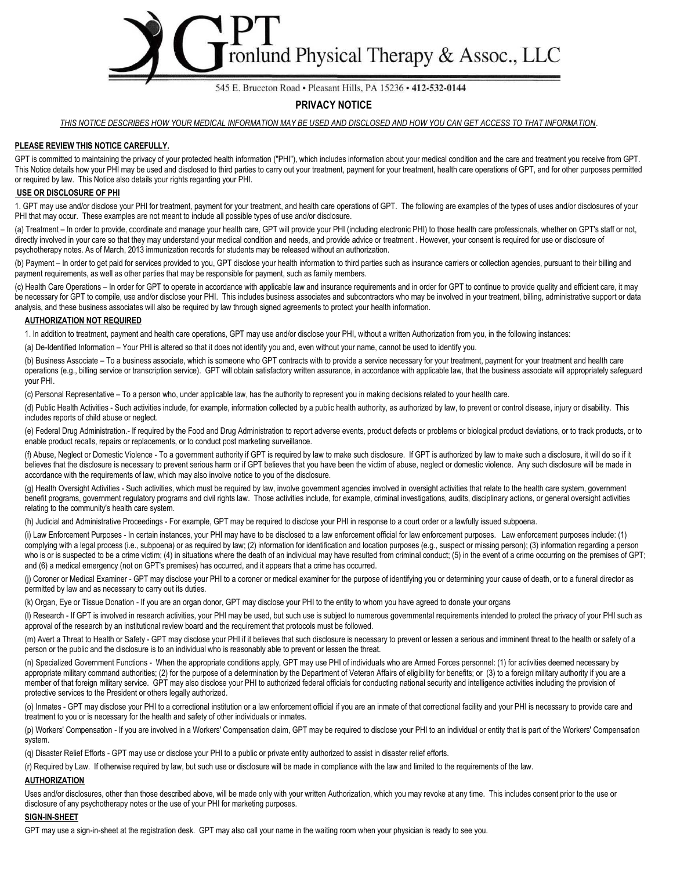

#### 545 E. Bruceton Road · Pleasant Hills, PA 15236 · 412-532-0144

#### **PRIVACY NOTICE**

*THIS NOTICE DESCRIBES HOW YOUR MEDICAL INFORMATION MAY BE USED AND DISCLOSED AND HOW YOU CAN GET ACCESS TO THAT INFORMATION*.

#### **PLEASE REVIEW THIS NOTICE CAREFULLY.**

GPT is committed to maintaining the privacy of your protected health information ("PHI"), which includes information about your medical condition and the care and treatment you receive from GPT. This Notice details how your PHI may be used and disclosed to third parties to carry out your treatment, payment for your treatment, health care operations of GPT, and for other purposes permitted or required by law. This Notice also details your rights regarding your PHI.

#### **USE OR DISCLOSURE OF PHI**

1. GPT may use and/or disclose your PHI for treatment, payment for your treatment, and health care operations of GPT. The following are examples of the types of uses and/or disclosures of your PHI that may occur. These examples are not meant to include all possible types of use and/or disclosure.

(a) Treatment – In order to provide, coordinate and manage your health care, GPT will provide your PHI (including electronic PHI) to those health care professionals, whether on GPT's staff or not, directly involved in your care so that they may understand your medical condition and needs, and provide advice or treatment . However, your consent is required for use or disclosure of psychotherapy notes. As of March, 2013 immunization records for students may be released without an authorization.

(b) Payment – In order to get paid for services provided to you, GPT disclose your health information to third parties such as insurance carriers or collection agencies, pursuant to their billing and payment requirements, as well as other parties that may be responsible for payment, such as family members.

(c) Health Care Operations – In order for GPT to operate in accordance with applicable law and insurance requirements and in order for GPT to continue to provide quality and efficient care, it may be necessary for GPT to compile, use and/or disclose your PHI. This includes business associates and subcontractors who may be involved in your treatment, billing, administrative support or data analysis, and these business associates will also be required by law through signed agreements to protect your health information.

#### **AUTHORIZATION NOT REQUIRED**

1. In addition to treatment, payment and health care operations, GPT may use and/or disclose your PHI, without a written Authorization from you, in the following instances:

(a) De-Identified Information – Your PHI is altered so that it does not identify you and, even without your name, cannot be used to identify you.

(b) Business Associate – To a business associate, which is someone who GPT contracts with to provide a service necessary for your treatment, payment for your treatment and health care operations (e.g., billing service or transcription service). GPT will obtain satisfactory written assurance, in accordance with applicable law, that the business associate will appropriately safeguard your PHI.

(c) Personal Representative – To a person who, under applicable law, has the authority to represent you in making decisions related to your health care.

(d) Public Health Activities - Such activities include, for example, information collected by a public health authority, as authorized by law, to prevent or control disease, injury or disability. This includes reports of child abuse or neglect.

(e) Federal Drug Administration.- If required by the Food and Drug Administration to report adverse events, product defects or problems or biological product deviations, or to track products, or to enable product recalls, repairs or replacements, or to conduct post marketing surveillance.

(f) Abuse, Neglect or Domestic Violence - To a government authority if GPT is required by law to make such disclosure. If GPT is authorized by law to make such a disclosure, it will do so if it believes that the disclosure is necessary to prevent serious harm or if GPT believes that you have been the victim of abuse, neglect or domestic violence. Any such disclosure will be made in accordance with the requirements of law, which may also involve notice to you of the disclosure.

(g) Health Oversight Activities - Such activities, which must be required by law, involve government agencies involved in oversight activities that relate to the health care system, government benefit programs, government regulatory programs and civil rights law. Those activities include, for example, criminal investigations, audits, disciplinary actions, or general oversight activities relating to the community's health care system.

(h) Judicial and Administrative Proceedings - For example, GPT may be required to disclose your PHI in response to a court order or a lawfully issued subpoena.

(i) Law Enforcement Purposes - In certain instances, your PHI may have to be disclosed to a law enforcement official for law enforcement purposes. Law enforcement purposes include: (1) complying with a legal process (i.e., subpoena) or as required by law; (2) information for identification and location purposes (e.g., suspect or missing person); (3) information regarding a person who is or is suspected to be a crime victim; (4) in situations where the death of an individual may have resulted from criminal conduct; (5) in the event of a crime occurring on the premises of GPT; and (6) a medical emergency (not on GPT's premises) has occurred, and it appears that a crime has occurred.

(i) Coroner or Medical Examiner - GPT may disclose your PHI to a coroner or medical examiner for the purpose of identifying you or determining your cause of death, or to a funeral director as permitted by law and as necessary to carry out its duties.

(k) Organ, Eye or Tissue Donation - If you are an organ donor, GPT may disclose your PHI to the entity to whom you have agreed to donate your organs

(I) Research - If GPT is involved in research activities, your PHI may be used, but such use is subject to numerous governmental requirements intended to protect the privacy of your PHI such as approval of the research by an institutional review board and the requirement that protocols must be followed.

(m) Avert a Threat to Health or Safety - GPT may disclose your PHI if it believes that such disclosure is necessary to prevent or lessen a serious and imminent threat to the health or safety of a person or the public and the disclosure is to an individual who is reasonably able to prevent or lessen the threat.

(n) Specialized Government Functions - When the appropriate conditions apply, GPT may use PHI of individuals who are Armed Forces personnel: (1) for activities deemed necessary by appropriate military command authorities; (2) for the purpose of a determination by the Department of Veteran Affairs of eligibility for benefits; or (3) to a foreign military authority if you are a member of that foreign military service. GPT may also disclose your PHI to authorized federal officials for conducting national security and intelligence activities including the provision of protective services to the President or others legally authorized.

(o) Inmates - GPT may disclose your PHI to a correctional institution or a law enforcement official if you are an inmate of that correctional facility and your PHI is necessary to provide care and treatment to you or is necessary for the health and safety of other individuals or inmates.

(p) Workers' Compensation - If you are involved in a Workers' Compensation claim, GPT may be required to disclose your PHI to an individual or entity that is part of the Workers' Compensation system.

(q) Disaster Relief Efforts - GPT may use or disclose your PHI to a public or private entity authorized to assist in disaster relief efforts.

(r) Required by Law. If otherwise required by law, but such use or disclosure will be made in compliance with the law and limited to the requirements of the law.

#### **AUTHORIZATION**

Uses and/or disclosures, other than those described above, will be made only with your written Authorization, which you may revoke at any time. This includes consent prior to the use or disclosure of any psychotherapy notes or the use of your PHI for marketing purposes.

#### **SIGN-IN-SHEET**

GPT may use a sign-in-sheet at the registration desk. GPT may also call your name in the waiting room when your physician is ready to see you.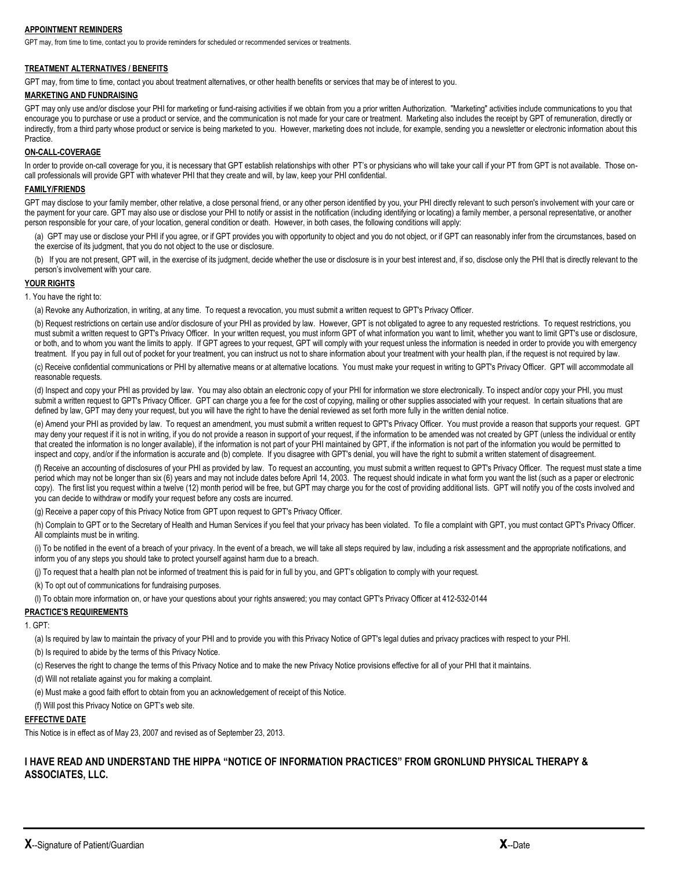#### **APPOINTMENT REMINDERS**

GPT may, from time to time, contact you to provide reminders for scheduled or recommended services or treatments.

#### **TREATMENT ALTERNATIVES / BENEFITS**

GPT may, from time to time, contact you about treatment alternatives, or other health benefits or services that may be of interest to you.

#### **MARKETING AND FUNDRAISING**

GPT may only use and/or disclose your PHI for marketing or fund-raising activities if we obtain from you a prior written Authorization. "Marketing" activities include communications to you that encourage you to purchase or use a product or service, and the communication is not made for your care or treatment. Marketing also includes the receipt by GPT of remuneration, directly or indirectly, from a third party whose product or service is being marketed to you. However, marketing does not include, for example, sending you a newsletter or electronic information about this **Practice** 

#### **ON-CALL-COVERAGE**

In order to provide on-call coverage for you, it is necessary that GPT establish relationships with other PT's or physicians who will take your call if your PT from GPT is not available. Those oncall professionals will provide GPT with whatever PHI that they create and will, by law, keep your PHI confidential.

#### **FAMILY/FRIENDS**

GPT may disclose to your family member, other relative, a close personal friend, or any other person identified by you, your PHI directly relevant to such person's involvement with your care or the payment for your care. GPT may also use or disclose your PHI to notify or assist in the notification (including identifying or locating) a family member, a personal representative, or another person responsible for your care, of your location, general condition or death. However, in both cases, the following conditions will apply:

(a) GPT may use or disclose your PHI if you agree, or if GPT provides you with opportunity to object and you do not object, or if GPT can reasonably infer from the circumstances, based on the exercise of its judgment, that you do not object to the use or disclosure.

(b) If you are not present, GPT will, in the exercise of its judgment, decide whether the use or disclosure is in your best interest and, if so, disclose only the PHI that is directly relevant to the person's involvement with your care.

#### **YOUR RIGHTS**

1. You have the right to:

(a) Revoke any Authorization, in writing, at any time. To request a revocation, you must submit a written request to GPT's Privacy Officer.

(b) Request restrictions on certain use and/or disclosure of your PHI as provided by law. However, GPT is not obligated to agree to any requested restrictions. To request restrictions, you must submit a written request to GPT's Privacy Officer. In your written request, you must inform GPT of what information you want to limit, whether you want to limit GPT's use or disclosure, or both, and to whom you want the limits to apply. If GPT agrees to your request, GPT will comply with your request unless the information is needed in order to provide you with emergency treatment. If you pay in full out of pocket for your treatment, you can instruct us not to share information about your treatment with your health plan, if the request is not required by law.

(c) Receive confidential communications or PHI by alternative means or at alternative locations. You must make your request in writing to GPT's Privacy Officer. GPT will accommodate all reasonable requests.

(d) Inspect and copy your PHI as provided by law. You may also obtain an electronic copy of your PHI for information we store electronically. To inspect and/or copy your PHI, you must submit a written request to GPT's Privacy Officer. GPT can charge you a fee for the cost of copying, mailing or other supplies associated with your request. In certain situations that are defined by law, GPT may deny your request, but you will have the right to have the denial reviewed as set forth more fully in the written denial notice.

(e) Amend your PHI as provided by law. To request an amendment, you must submit a written request to GPT's Privacy Officer. You must provide a reason that supports your request. GPT may deny your request if it is not in writing, if you do not provide a reason in support of your request, if the information to be amended was not created by GPT (unless the individual or entity that created the information is no longer available), if the information is not part of your PHI maintained by GPT, if the information is not part of the information you would be permitted to inspect and copy, and/or if the information is accurate and (b) complete. If you disagree with GPT's denial, you will have the right to submit a written statement of disagreement.

(f) Receive an accounting of disclosures of your PHI as provided by law. To request an accounting, you must submit a written request to GPT's Privacy Officer. The request must state a time period which may not be longer than six (6) years and may not include dates before April 14, 2003. The request should indicate in what form you want the list (such as a paper or electronic copy). The first list you request within a twelve (12) month period will be free, but GPT may charge you for the cost of providing additional lists. GPT will notify you of the costs involved and you can decide to withdraw or modify your request before any costs are incurred.

(g) Receive a paper copy of this Privacy Notice from GPT upon request to GPT's Privacy Officer.

(h) Complain to GPT or to the Secretary of Health and Human Services if you feel that your privacy has been violated. To file a complaint with GPT, you must contact GPT's Privacy Officer. All complaints must be in writing.

(i) To be notified in the event of a breach of your privacy. In the event of a breach, we will take all steps required by law, including a risk assessment and the appropriate notifications, and inform you of any steps you should take to protect yourself against harm due to a breach.

(i) To request that a health plan not be informed of treatment this is paid for in full by you, and GPT's obligation to comply with your request.

(k) To opt out of communications for fundraising purposes.

(l) To obtain more information on, or have your questions about your rights answered; you may contact GPT's Privacy Officer at 412-532-0144

#### **PRACTICE'S REQUIREMENTS**

1. GPT:

(a) Is required by law to maintain the privacy of your PHI and to provide you with this Privacy Notice of GPT's legal duties and privacy practices with respect to your PHI.

(b) Is required to abide by the terms of this Privacy Notice.

(c) Reserves the right to change the terms of this Privacy Notice and to make the new Privacy Notice provisions effective for all of your PHI that it maintains.

(d) Will not retaliate against you for making a complaint.

(e) Must make a good faith effort to obtain from you an acknowledgement of receipt of this Notice.

(f) Will post this Privacy Notice on GPT's web site.

#### **EFFECTIVE DATE**

This Notice is in effect as of May 23, 2007 and revised as of September 23, 2013.

**I HAVE READ AND UNDERSTAND THE HIPPA "NOTICE OF INFORMATION PRACTICES" FROM GRONLUND PHYSICAL THERAPY & ASSOCIATES, LLC.**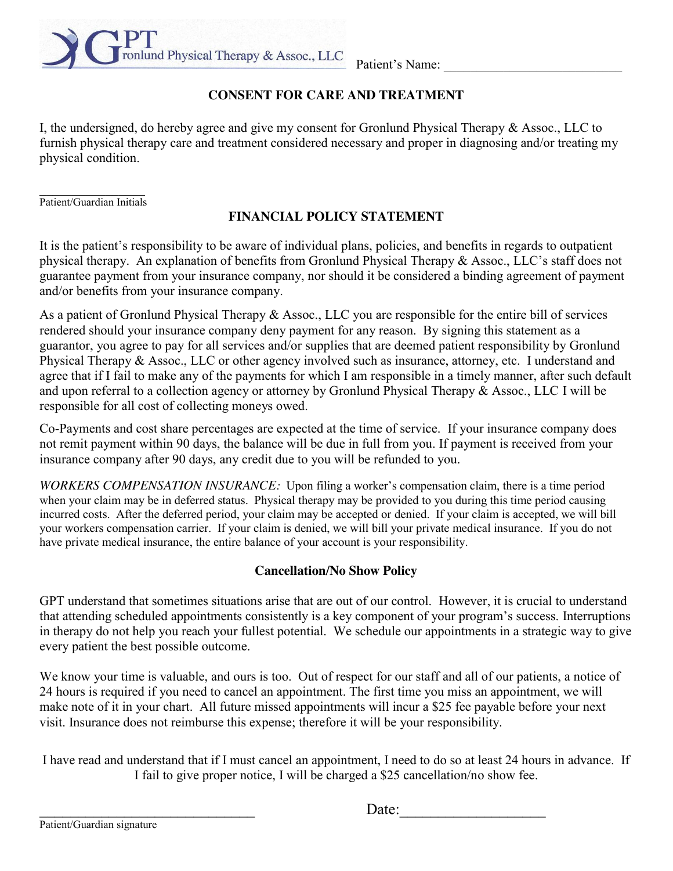ronlund Physical Therapy & Assoc., LLC Patient's Name:

# **CONSENT FOR CARE AND TREATMENT**

I, the undersigned, do hereby agree and give my consent for Gronlund Physical Therapy & Assoc., LLC to furnish physical therapy care and treatment considered necessary and proper in diagnosing and/or treating my physical condition.

 $\mathcal{L}_\text{max}$ Patient/Guardian Initials

# **FINANCIAL POLICY STATEMENT**

It is the patient's responsibility to be aware of individual plans, policies, and benefits in regards to outpatient physical therapy. An explanation of benefits from Gronlund Physical Therapy & Assoc., LLC's staff does not guarantee payment from your insurance company, nor should it be considered a binding agreement of payment and/or benefits from your insurance company.

As a patient of Gronlund Physical Therapy & Assoc., LLC you are responsible for the entire bill of services rendered should your insurance company deny payment for any reason. By signing this statement as a guarantor, you agree to pay for all services and/or supplies that are deemed patient responsibility by Gronlund Physical Therapy  $\&$  Assoc., LLC or other agency involved such as insurance, attorney, etc. I understand and agree that if I fail to make any of the payments for which I am responsible in a timely manner, after such default and upon referral to a collection agency or attorney by Gronlund Physical Therapy & Assoc., LLC I will be responsible for all cost of collecting moneys owed.

Co-Payments and cost share percentages are expected at the time of service. If your insurance company does not remit payment within 90 days, the balance will be due in full from you. If payment is received from your insurance company after 90 days, any credit due to you will be refunded to you.

*WORKERS COMPENSATION INSURANCE:* Upon filing a worker's compensation claim, there is a time period when your claim may be in deferred status. Physical therapy may be provided to you during this time period causing incurred costs. After the deferred period, your claim may be accepted or denied. If your claim is accepted, we will bill your workers compensation carrier. If your claim is denied, we will bill your private medical insurance. If you do not have private medical insurance, the entire balance of your account is your responsibility.

# **Cancellation/No Show Policy**

GPT understand that sometimes situations arise that are out of our control. However, it is crucial to understand that attending scheduled appointments consistently is a key component of your program's success. Interruptions in therapy do not help you reach your fullest potential. We schedule our appointments in a strategic way to give every patient the best possible outcome.

We know your time is valuable, and ours is too. Out of respect for our staff and all of our patients, a notice of 24 hours is required if you need to cancel an appointment. The first time you miss an appointment, we will make note of it in your chart. All future missed appointments will incur a \$25 fee payable before your next visit. Insurance does not reimburse this expense; therefore it will be your responsibility.

I have read and understand that if I must cancel an appointment, I need to do so at least 24 hours in advance. If I fail to give proper notice, I will be charged a \$25 cancellation/no show fee.

Patient/Guardian signature

 $\Box$  Date: